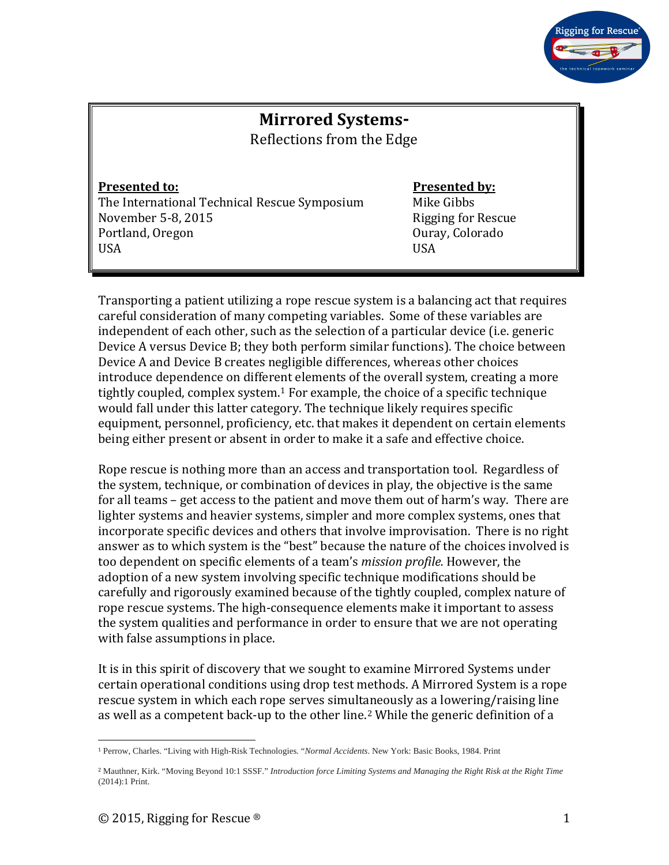

# **Mirrored Systems-**

Reflections from the Edge

The International Technical Rescue Symposium Mike Gibbs<br>November 5-8, 2015 Movember 5-8, 2015 November 5-8, 2015 Rigging for Rescues Portland, Oregon Number 2016 Portland, Oregon Ouray, Colorado USA USA

#### **Presented to: Presented by:**

Transporting a patient utilizing a rope rescue system is a balancing act that requires careful consideration of many competing variables. Some of these variables are independent of each other, such as the selection of a particular device (i.e. generic Device A versus Device B; they both perform similar functions). The choice between Device A and Device B creates negligible differences, whereas other choices introduce dependence on differe[n](#page-0-0)t elements of the overall system, creating a more tightly coupled, complex system. <sup>1</sup> For example, the choice of a specific technique would fall under this latter category. The technique likely requires specific equipment, personnel, proficiency, etc. that makes it dependent on certain elements being either present or absent in order to make it a safe and effective choice.

Rope rescue is nothing more than an access and transportation tool. Regardless of the system, technique, or combination of devices in play, the objective is the same for all teams – get access to the patient and move them out of harm's way. There are lighter systems and heavier systems, simpler and more complex systems, ones that incorporate specific devices and others that involve improvisation. There is no right answer as to which system is the "best" because the nature of the choices involved is too dependent on specific elements of a team's *mission profile.* However, the adoption of a new system involving specific technique modifications should be carefully and rigorously examined because of the tightly coupled, complex nature of rope rescue systems. The high-consequence elements make it important to assess the system qualities and performance in order to ensure that we are not operating with false assumptions in place.

It is in this spirit of discovery that we sought to examine Mirrored Systems under certain operational conditions using drop test methods. A Mirrored System is a rope rescue system in which each rope serves simult[an](#page-0-1)eously as a lowering/raising line as well as a competent back-up to the other line. <sup>2</sup> While the generic definition of a

<span id="page-0-0"></span><sup>1</sup> Perrow, Charles. "Living with High-Risk Technologies*.* "*Normal Accidents*. New York: Basic Books, 1984. Print

<span id="page-0-1"></span><sup>2</sup> Mauthner, Kirk. "Moving Beyond 10:1 SSSF." *Introduction force Limiting Systems and Managing the Right Risk at the Right Time* (2014):1 Print.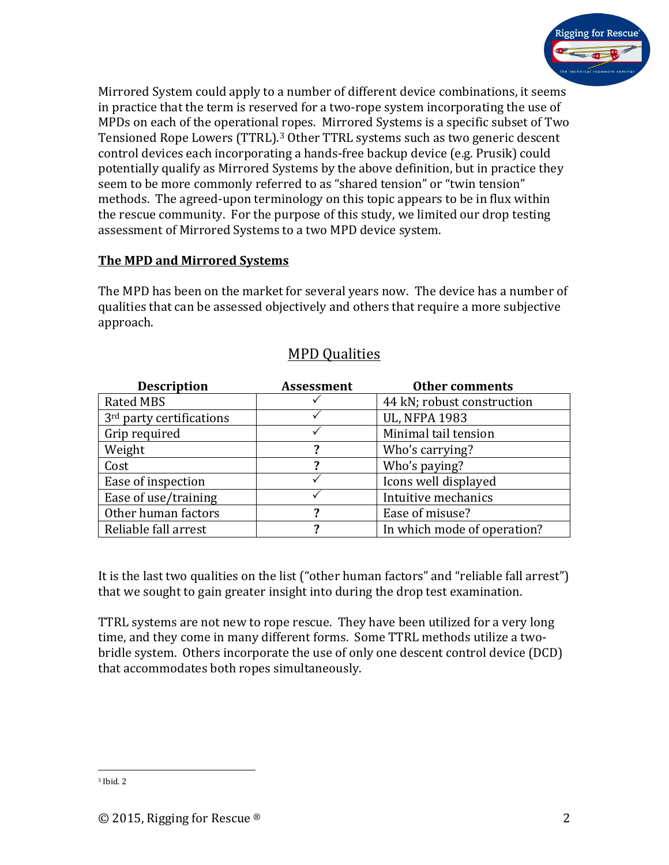

Mirrored System could apply to a number of different device combinations, it seems in practice that the term is reserved for a two-rope system incorporating the use of MPDs on each of the operational [r](#page-1-0)opes. Mirrored Systems is a specific subset of Two Tensioned Rope Lowers (TTRL). <sup>3</sup> Other TTRL systems such as two generic descent control devices each incorporating a hands-free backup device (e.g. Prusik) could potentially qualify as Mirrored Systems by the above definition, but in practice they seem to be more commonly referred to as "shared tension" or "twin tension" methods. The agreed-upon terminology on this topic appears to be in flux within the rescue community. For the purpose of this study, we limited our drop testing assessment of Mirrored Systems to a two MPD device system.

#### **The MPD and Mirrored Systems**

The MPD has been on the market for several years now. The device has a number of qualities that can be assessed objectively and others that require a more subjective approach.

| <b>Description</b>                   | <b>Assessment</b> | <b>Other comments</b>       |
|--------------------------------------|-------------------|-----------------------------|
| <b>Rated MBS</b>                     |                   | 44 kN; robust construction  |
| 3 <sup>rd</sup> party certifications |                   | <b>UL, NFPA 1983</b>        |
| Grip required                        |                   | Minimal tail tension        |
| Weight                               | 2                 | Who's carrying?             |
| Cost                                 | 7                 | Who's paying?               |
| Ease of inspection                   |                   | Icons well displayed        |
| Ease of use/training                 |                   | Intuitive mechanics         |
| Other human factors                  | 7                 | Ease of misuse?             |
| Reliable fall arrest                 | 2                 | In which mode of operation? |

### MPD Qualities

It is the last two qualities on the list ("other human factors" and "reliable fall arrest") that we sought to gain greater insight into during the drop test examination.

TTRL systems are not new to rope rescue. They have been utilized for a very long time, and they come in many different forms. Some TTRL methods utilize a twobridle system. Others incorporate the use of only one descent control device (DCD) that accommodates both ropes simultaneously.

<span id="page-1-0"></span><sup>3</sup> Ibid. 2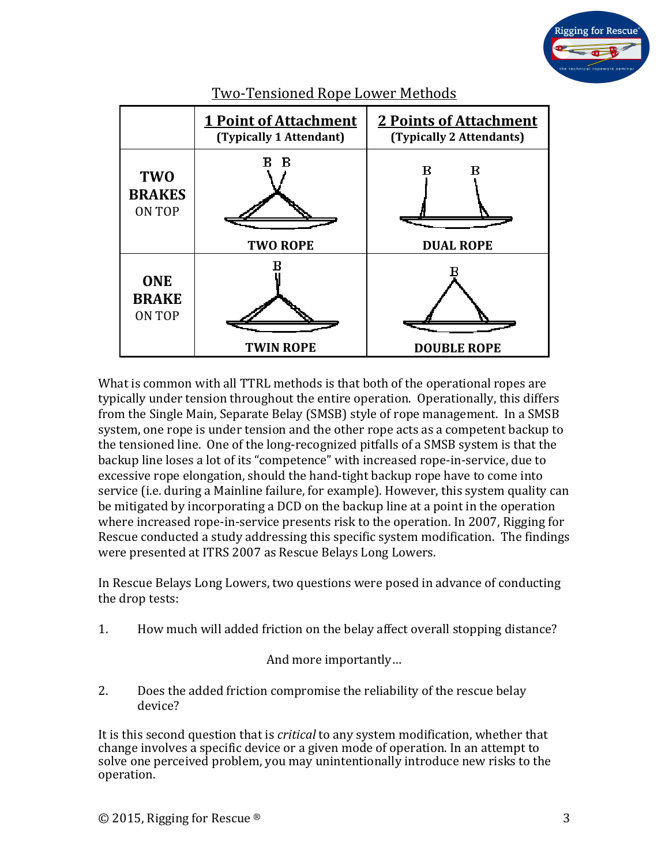



Two-Tensioned Rope Lower Methods

What is common with all TTRL methods is that both of the operational ropes are typically under tension throughout the entire operation. Operationally, this differs from the Single Main, Separate Belay (SMSB) style of rope management. In a SMSB system, one rope is under tension and the other rope acts as a competent backup to the tensioned line. One of the long-recognized pitfalls of a SMSB system is that the backup line loses a lot of its "competence" with increased rope-in-service, due to excessive rope elongation, should the hand-tight backup rope have to come into service (i.e. during a Mainline failure, for example). However, this system quality can be mitigated by incorporating a DCD on the backup line at a point in the operation where increased rope-in-service presents risk to the operation. In 2007, Rigging for Rescue conducted a study addressing this specific system modification. The findings were presented at ITRS 2007 as Rescue Belays Long Lowers.

In Rescue Belays Long Lowers, two questions were posed in advance of conducting the drop tests:

1. How much will added friction on the belay affect overall stopping distance?

And more importantly...

2. Does the added friction compromise the reliability of the rescue belay device?

It is this second question that is *critical* to any system modification, whether that change involves a specific device or a given mode of operation. In an attempt to solve one perceived problem, you may unintentionally introduce new risks to the operation.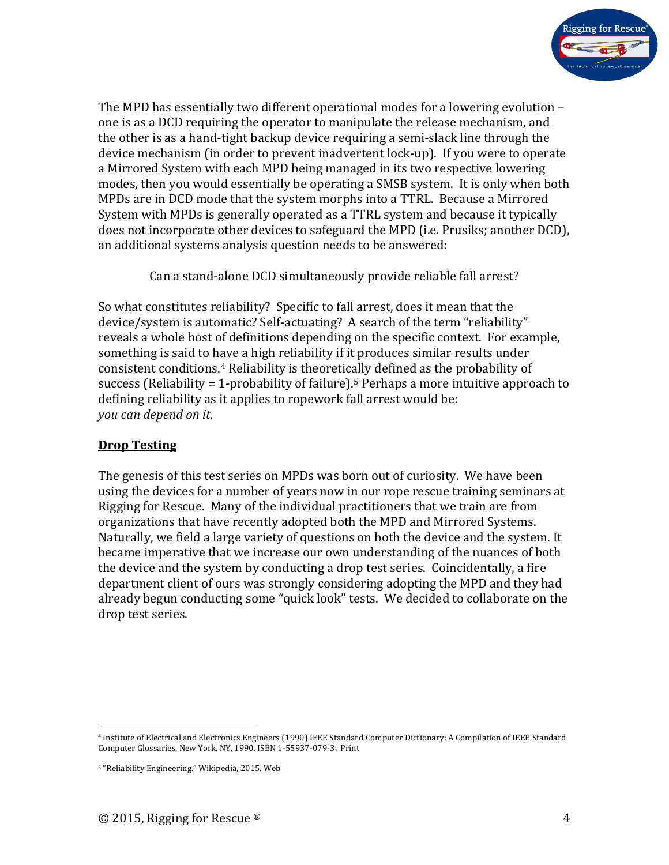

The MPD has essentially two different operational modes for a lowering evolution – one is as a DCD requiring the operator to manipulate the release mechanism, and the other is as a hand-tight backup device requiring a semi-slack line through the device mechanism (in order to prevent inadvertent lock-up). If you were to operate a Mirrored System with each MPD being managed in its two respective lowering modes, then you would essentially be operating a SMSB system. It is only when both MPDs are in DCD mode that the system morphs into a TTRL. Because a Mirrored System with MPDs is generally operated as a TTRL system and because it typically does not incorporate other devices to safeguard the MPD (i.e. Prusiks; another DCD), an additional systems analysis question needs to be answered:

Can a stand-alone DCD simultaneously provide reliable fall arrest?

So what constitutes reliability? Specific to fall arrest, does it mean that the device/system is automatic? Self-actuating? A search of the term "reliability" reveals a whole host of definitions depending on the specific context. For example, something is said to h[av](#page-3-0)e a high reliability if it produces similar results under consistent conditions.4 Reliability is theoretically defined as the probability of success (Reliability = 1-probability of failure).<sup>[5](#page-3-1)</sup> Perhaps a more intuitive approach to defining reliability as it applies to ropework fall arrest would be: *you can depend on it.* 

#### **Drop Testing**

The genesis of this test series on MPDs was born out of curiosity. We have been using the devices for a number of years now in our rope rescue training seminars at Rigging for Rescue. Many of the individual practitioners that we train are from organizations that have recently adopted both the MPD and Mirrored Systems. Naturally, we field a large variety of questions on both the device and the system. It became imperative that we increase our own understanding of the nuances of both the device and the system by conducting a drop test series. Coincidentally, a fire department client of ours was strongly considering adopting the MPD and they had already begun conducting some "quick look" tests. We decided to collaborate on the drop test series.

<span id="page-3-0"></span><sup>4</sup> Institute of Electrical and Electronics Engineers (1990) IEEE Standard Computer Dictionary: A Compilation of IEEE Standard Computer Glossaries. New York, NY, 1990. ISBN 1-55937-079-3. Print

<span id="page-3-1"></span><sup>5</sup> "Reliability Engineering." Wikipedia, 2015. Web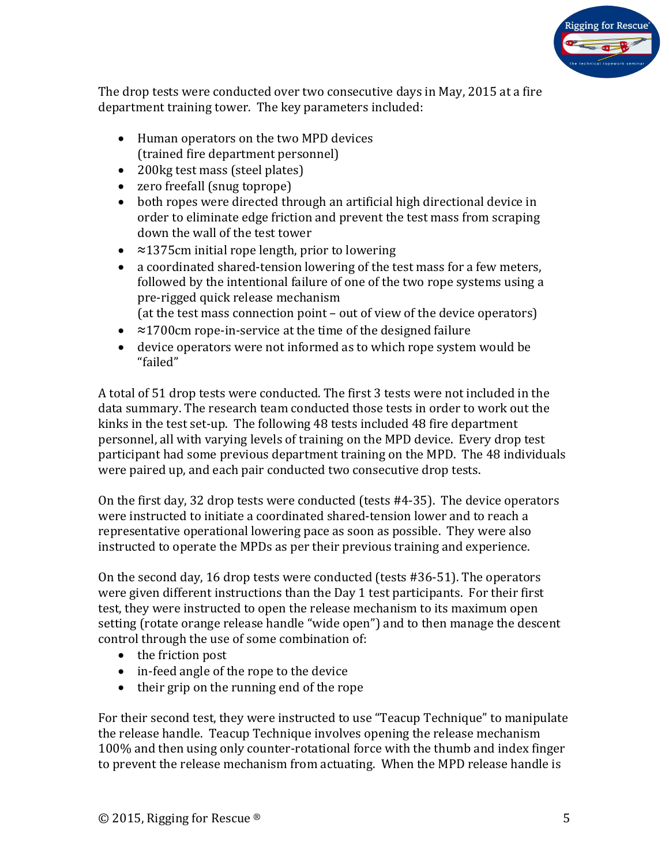

The drop tests were conducted over two consecutive days in May, 2015 at a fire department training tower. The key parameters included:

- Human operators on the two MPD devices (trained fire department personnel)
- 200kg test mass (steel plates)
- zero freefall (snug toprope)
- both ropes were directed through an artificial high directional device in order to eliminate edge friction and prevent the test mass from scraping down the wall of the test tower
- ≈1375cm initial rope length, prior to lowering
- a coordinated shared-tension lowering of the test mass for a few meters, followed by the intentional failure of one of the two rope systems using a pre-rigged quick release mechanism (at the test mass connection point – out of view of the device operators)
- ≈1700cm rope-in-service at the time of the designed failure
- device operators were not informed as to which rope system would be "failed"

A total of 51 drop tests were conducted. The first 3 tests were not included in the data summary. The research team conducted those tests in order to work out the kinks in the test set-up. The following 48 tests included 48 fire department personnel, all with varying levels of training on the MPD device. Every drop test participant had some previous department training on the MPD. The 48 individuals were paired up, and each pair conducted two consecutive drop tests.

On the first day, 32 drop tests were conducted (tests #4-35). The device operators were instructed to initiate a coordinated shared-tension lower and to reach a representative operational lowering pace as soon as possible. They were also instructed to operate the MPDs as per their previous training and experience.

On the second day, 16 drop tests were conducted (tests #36-51). The operators were given different instructions than the Day 1 test participants. For their first test, they were instructed to open the release mechanism to its maximum open setting (rotate orange release handle "wide open") and to then manage the descent control through the use of some combination of:

- the friction post
- in-feed angle of the rope to the device
- their grip on the running end of the rope

For their second test, they were instructed to use "Teacup Technique" to manipulate the release handle. Teacup Technique involves opening the release mechanism 100% and then using only counter-rotational force with the thumb and index finger to prevent the release mechanism from actuating. When the MPD release handle is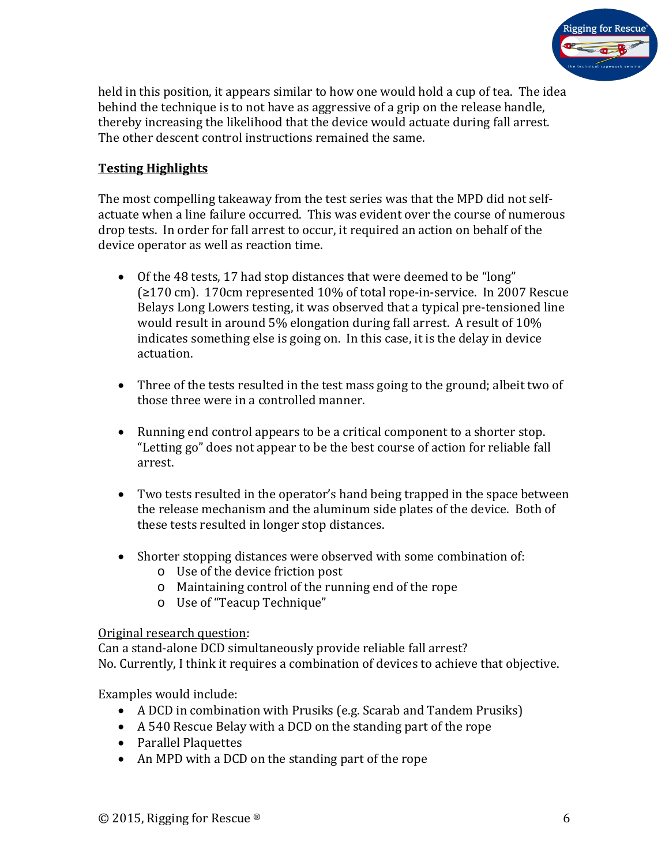

held in this position, it appears similar to how one would hold a cup of tea. The idea behind the technique is to not have as aggressive of a grip on the release handle, thereby increasing the likelihood that the device would actuate during fall arrest. The other descent control instructions remained the same.

#### **Testing Highlights**

The most compelling takeaway from the test series was that the MPD did not selfactuate when a line failure occurred. This was evident over the course of numerous drop tests. In order for fall arrest to occur, it required an action on behalf of the device operator as well as reaction time.

- Of the 48 tests, 17 had stop distances that were deemed to be "long" (≥170 cm). 170cm represented 10% of total rope-in-service. In 2007 Rescue Belays Long Lowers testing, it was observed that a typical pre-tensioned line would result in around 5% elongation during fall arrest. A result of 10% indicates something else is going on. In this case, it is the delay in device actuation.
- Three of the tests resulted in the test mass going to the ground; albeit two of those three were in a controlled manner.
- Running end control appears to be a critical component to a shorter stop. "Letting go" does not appear to be the best course of action for reliable fall arrest.
- Two tests resulted in the operator's hand being trapped in the space between the release mechanism and the aluminum side plates of the device. Both of these tests resulted in longer stop distances.
- Shorter stopping distances were observed with some combination of:
	- o Use of the device friction post
	- o Maintaining control of the running end of the rope
	- o Use of "Teacup Technique"

#### Original research question:

Can a stand-alone DCD simultaneously provide reliable fall arrest? No. Currently, I think it requires a combination of devices to achieve that objective.

Examples would include:

- A DCD in combination with Prusiks (e.g. Scarab and Tandem Prusiks)
- A 540 Rescue Belay with a DCD on the standing part of the rope
- Parallel Plaquettes
- An MPD with a DCD on the standing part of the rope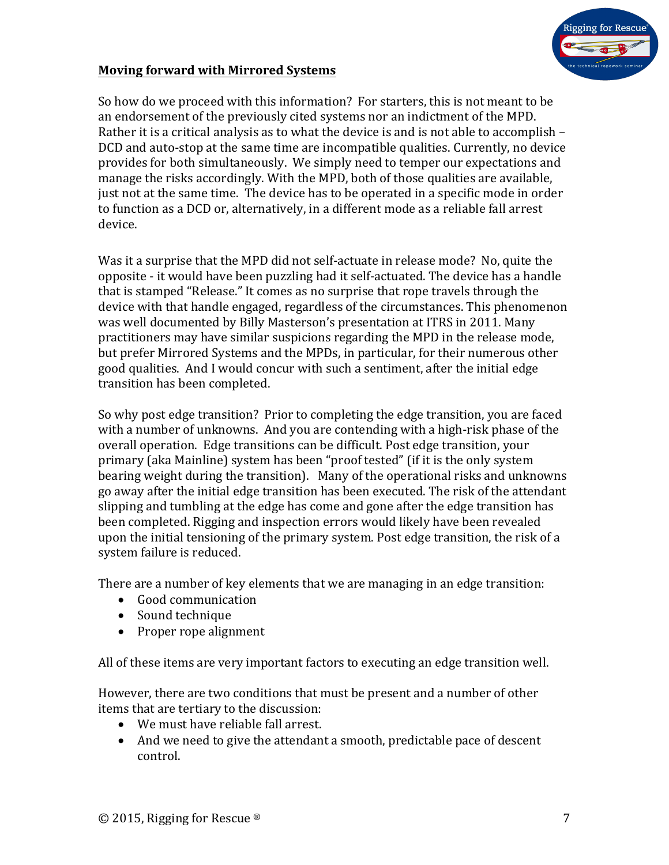

#### **Moving forward with Mirrored Systems**

So how do we proceed with this information? For starters, this is not meant to be an endorsement of the previously cited systems nor an indictment of the MPD. Rather it is a critical analysis as to what the device is and is not able to accomplish – DCD and auto-stop at the same time are incompatible qualities. Currently, no device provides for both simultaneously. We simply need to temper our expectations and manage the risks accordingly. With the MPD, both of those qualities are available, just not at the same time. The device has to be operated in a specific mode in order to function as a DCD or, alternatively, in a different mode as a reliable fall arrest device.

Was it a surprise that the MPD did not self-actuate in release mode? No, quite the opposite - it would have been puzzling had it self-actuated. The device has a handle that is stamped "Release." It comes as no surprise that rope travels through the device with that handle engaged, regardless of the circumstances. This phenomenon was well documented by Billy Masterson's presentation at ITRS in 2011. Many practitioners may have similar suspicions regarding the MPD in the release mode, but prefer Mirrored Systems and the MPDs, in particular, for their numerous other good qualities. And I would concur with such a sentiment, after the initial edge transition has been completed.

So why post edge transition? Prior to completing the edge transition, you are faced with a number of unknowns. And you are contending with a high-risk phase of the overall operation. Edge transitions can be difficult. Post edge transition, your primary (aka Mainline) system has been "proof tested" (if it is the only system bearing weight during the transition). Many of the operational risks and unknowns go away after the initial edge transition has been executed. The risk of the attendant slipping and tumbling at the edge has come and gone after the edge transition has been completed. Rigging and inspection errors would likely have been revealed upon the initial tensioning of the primary system. Post edge transition, the risk of a system failure is reduced.

There are a number of key elements that we are managing in an edge transition:

- Good communication
- Sound technique
- Proper rope alignment

All of these items are very important factors to executing an edge transition well.

However, there are two conditions that must be present and a number of other items that are tertiary to the discussion:

- We must have reliable fall arrest.
- And we need to give the attendant a smooth, predictable pace of descent control.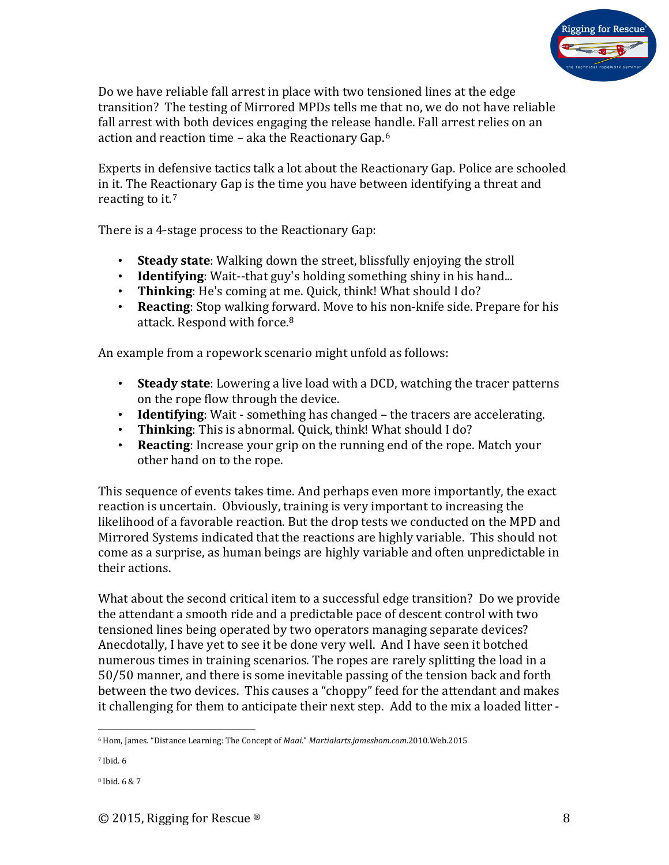

Do we have reliable fall arrest in place with two tensioned lines at the edge transition? The testing of Mirrored MPDs tells me that no, we do not have reliable fall arrest with both devices engaging the release handle. Fall arrest relies on an action and reaction time – aka the Reactionary Gap.[6](#page-7-0)

Experts in defensive tactics talk a lot about the Reactionary Gap. Police are schooled in it. The Reactionary Gap is the time you have between identifying a threat and reacting to it.[7](#page-7-1)

There is a 4-stage process to the Reactionary Gap:

- **Steady state**: Walking down the street, blissfully enjoying the stroll
- **Identifying**: Wait--that guy's holding something shiny in his hand...
- **Thinking**: He's coming at me. Quick, think! What should I do?
- **Reacting**: Stop walking forward. Move to his non-knife side. Prepare for his attack. Respond with force.[8](#page-7-2)

An example from a ropework scenario might unfold as follows:

- **Steady state**: Lowering a live load with a DCD, watching the tracer patterns on the rope flow through the device.
- **Identifying**: Wait something has changed the tracers are accelerating.
- **Thinking**: This is abnormal. Quick, think! What should I do?
- **Reacting**: Increase your grip on the running end of the rope. Match your other hand on to the rope.

This sequence of events takes time. And perhaps even more importantly, the exact reaction is uncertain. Obviously, training is very important to increasing the likelihood of a favorable reaction. But the drop tests we conducted on the MPD and Mirrored Systems indicated that the reactions are highly variable. This should not come as a surprise, as human beings are highly variable and often unpredictable in their actions.

What about the second critical item to a successful edge transition? Do we provide the attendant a smooth ride and a predictable pace of descent control with two tensioned lines being operated by two operators managing separate devices? Anecdotally, I have yet to see it be done very well. And I have seen it botched numerous times in training scenarios. The ropes are rarely splitting the load in a 50/50 manner, and there is some inevitable passing of the tension back and forth between the two devices. This causes a "choppy" feed for the attendant and makes it challenging for them to anticipate their next step. Add to the mix a loaded litter -

<span id="page-7-0"></span><sup>6</sup> Hom, James. "Distance Learning: The Concept of *Maai*." *Martialarts.jameshom.com*.2010.Web.2015

<span id="page-7-1"></span><sup>7</sup> Ibid. 6

<span id="page-7-2"></span><sup>8</sup> Ibid. 6 & 7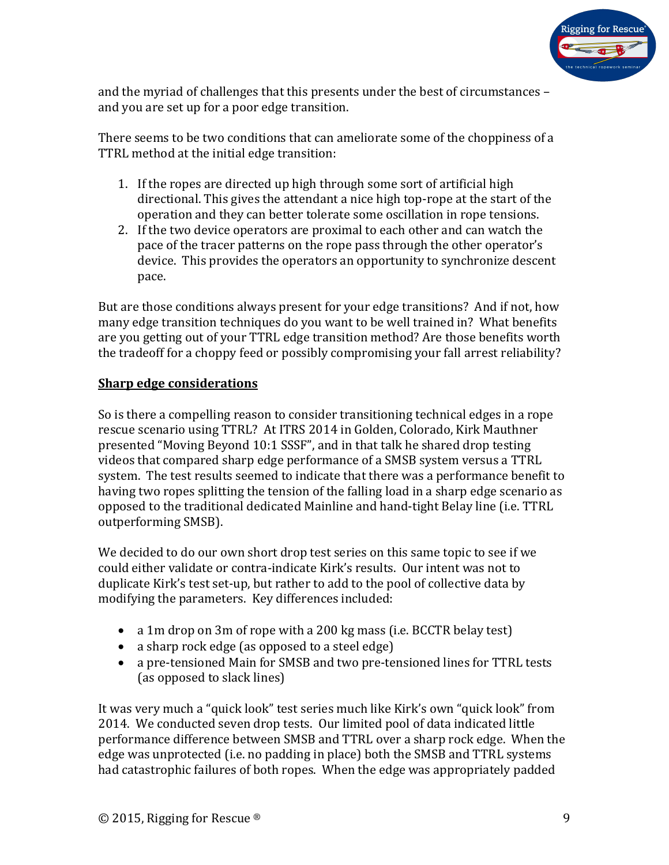

and the myriad of challenges that this presents under the best of circumstances – and you are set up for a poor edge transition.

There seems to be two conditions that can ameliorate some of the choppiness of a TTRL method at the initial edge transition:

- 1. If the ropes are directed up high through some sort of artificial high directional. This gives the attendant a nice high top-rope at the start of the operation and they can better tolerate some oscillation in rope tensions.
- 2. If the two device operators are proximal to each other and can watch the pace of the tracer patterns on the rope pass through the other operator's device. This provides the operators an opportunity to synchronize descent pace.

But are those conditions always present for your edge transitions? And if not, how many edge transition techniques do you want to be well trained in? What benefits are you getting out of your TTRL edge transition method? Are those benefits worth the tradeoff for a choppy feed or possibly compromising your fall arrest reliability?

### **Sharp edge considerations**

So is there a compelling reason to consider transitioning technical edges in a rope rescue scenario using TTRL? At ITRS 2014 in Golden, Colorado, Kirk Mauthner presented "Moving Beyond 10:1 SSSF", and in that talk he shared drop testing videos that compared sharp edge performance of a SMSB system versus a TTRL system. The test results seemed to indicate that there was a performance benefit to having two ropes splitting the tension of the falling load in a sharp edge scenario as opposed to the traditional dedicated Mainline and hand-tight Belay line (i.e. TTRL outperforming SMSB).

We decided to do our own short drop test series on this same topic to see if we could either validate or contra-indicate Kirk's results. Our intent was not to duplicate Kirk's test set-up, but rather to add to the pool of collective data by modifying the parameters. Key differences included:

- a 1m drop on 3m of rope with a 200 kg mass (i.e. BCCTR belay test)
- a sharp rock edge (as opposed to a steel edge)
- a pre-tensioned Main for SMSB and two pre-tensioned lines for TTRL tests (as opposed to slack lines)

It was very much a "quick look" test series much like Kirk's own "quick look" from 2014. We conducted seven drop tests. Our limited pool of data indicated little performance difference between SMSB and TTRL over a sharp rock edge. When the edge was unprotected (i.e. no padding in place) both the SMSB and TTRL systems had catastrophic failures of both ropes. When the edge was appropriately padded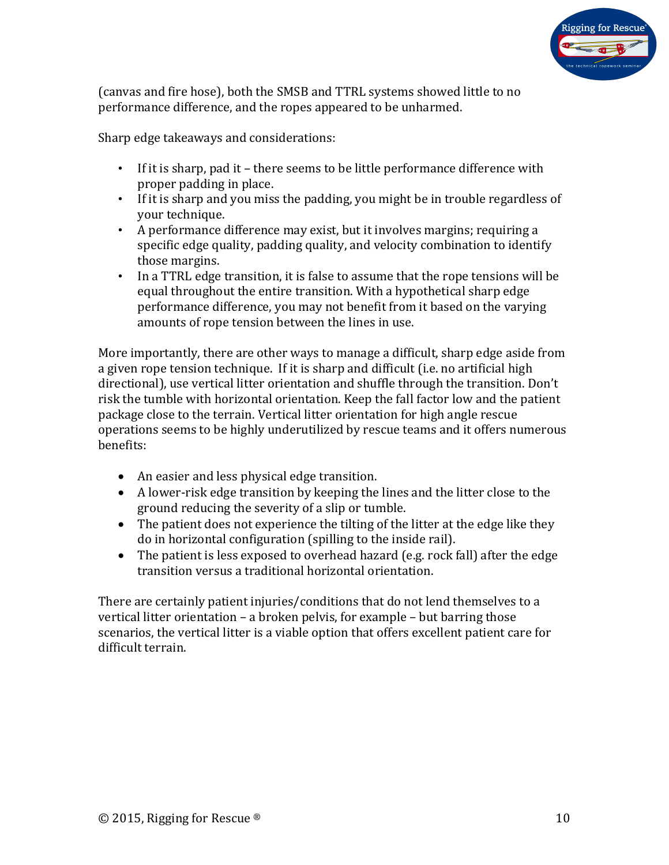

(canvas and fire hose), both the SMSB and TTRL systems showed little to no performance difference, and the ropes appeared to be unharmed.

Sharp edge takeaways and considerations:

- If it is sharp, pad it there seems to be little performance difference with proper padding in place.
- If it is sharp and you miss the padding, you might be in trouble regardless of your technique.
- A performance difference may exist, but it involves margins; requiring a specific edge quality, padding quality, and velocity combination to identify those margins.
- In a TTRL edge transition, it is false to assume that the rope tensions will be equal throughout the entire transition. With a hypothetical sharp edge performance difference, you may not benefit from it based on the varying amounts of rope tension between the lines in use.

More importantly, there are other ways to manage a difficult, sharp edge aside from a given rope tension technique. If it is sharp and difficult (i.e. no artificial high directional), use vertical litter orientation and shuffle through the transition. Don't risk the tumble with horizontal orientation. Keep the fall factor low and the patient package close to the terrain. Vertical litter orientation for high angle rescue operations seems to be highly underutilized by rescue teams and it offers numerous benefits:

- An easier and less physical edge transition.
- A lower-risk edge transition by keeping the lines and the litter close to the ground reducing the severity of a slip or tumble.
- The patient does not experience the tilting of the litter at the edge like they do in horizontal configuration (spilling to the inside rail).
- The patient is less exposed to overhead hazard (e.g. rock fall) after the edge transition versus a traditional horizontal orientation.

There are certainly patient injuries/conditions that do not lend themselves to a vertical litter orientation – a broken pelvis, for example – but barring those scenarios, the vertical litter is a viable option that offers excellent patient care for difficult terrain.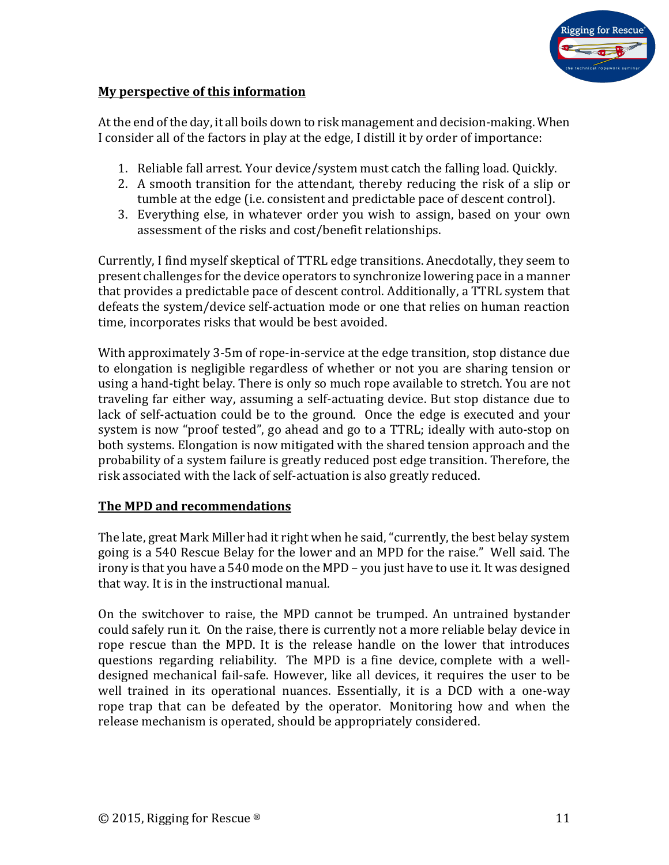

#### **My perspective of this information**

At the end of the day, it all boils down to risk management and decision-making. When I consider all of the factors in play at the edge, I distill it by order of importance:

- 1. Reliable fall arrest. Your device/system must catch the falling load. Quickly.
- 2. A smooth transition for the attendant, thereby reducing the risk of a slip or tumble at the edge (i.e. consistent and predictable pace of descent control).
- 3. Everything else, in whatever order you wish to assign, based on your own assessment of the risks and cost/benefit relationships.

Currently, I find myself skeptical of TTRL edge transitions. Anecdotally, they seem to present challenges for the device operators to synchronize lowering pace in a manner that provides a predictable pace of descent control. Additionally, a TTRL system that defeats the system/device self-actuation mode or one that relies on human reaction time, incorporates risks that would be best avoided.

With approximately 3-5m of rope-in-service at the edge transition, stop distance due to elongation is negligible regardless of whether or not you are sharing tension or using a hand-tight belay. There is only so much rope available to stretch. You are not traveling far either way, assuming a self-actuating device. But stop distance due to lack of self-actuation could be to the ground. Once the edge is executed and your system is now "proof tested", go ahead and go to a TTRL; ideally with auto-stop on both systems. Elongation is now mitigated with the shared tension approach and the probability of a system failure is greatly reduced post edge transition. Therefore, the risk associated with the lack of self-actuation is also greatly reduced.

#### **The MPD and recommendations**

The late, great Mark Miller had it right when he said, "currently, the best belay system going is a 540 Rescue Belay for the lower and an MPD for the raise." Well said. The irony is that you have a 540 mode on the MPD – you just have to use it. It was designed that way. It is in the instructional manual.

On the switchover to raise, the MPD cannot be trumped. An untrained bystander could safely run it. On the raise, there is currently not a more reliable belay device in rope rescue than the MPD. It is the release handle on the lower that introduces questions regarding reliability. The MPD is a fine device, complete with a welldesigned mechanical fail-safe. However, like all devices, it requires the user to be well trained in its operational nuances. Essentially, it is a DCD with a one-way rope trap that can be defeated by the operator. Monitoring how and when the release mechanism is operated, should be appropriately considered.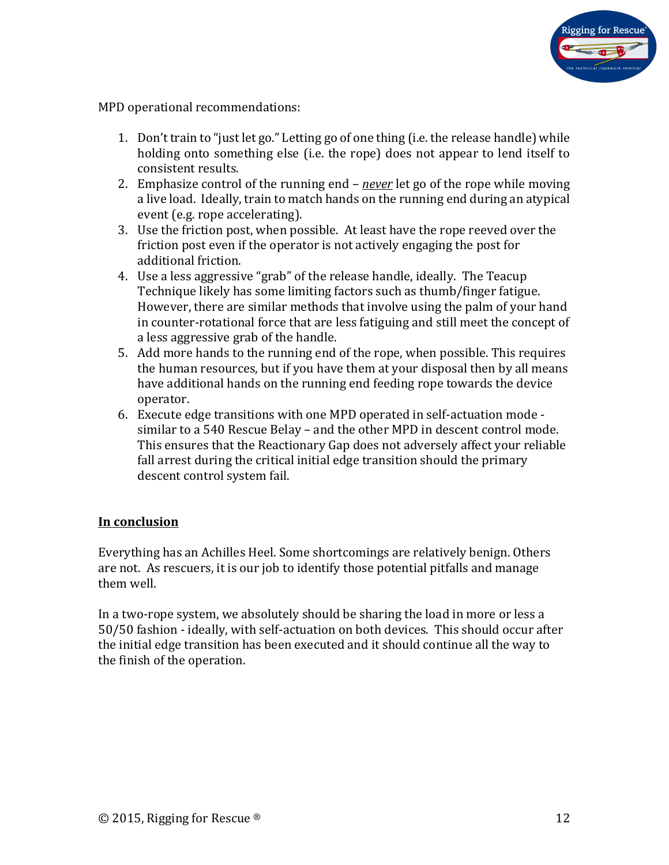

MPD operational recommendations:

- 1. Don't train to "just let go." Letting go of one thing (i.e. the release handle) while holding onto something else (i.e. the rope) does not appear to lend itself to consistent results.
- 2. Emphasize control of the running end *never* let go of the rope while moving a live load. Ideally, train to match hands on the running end during an atypical event (e.g. rope accelerating).
- 3. Use the friction post, when possible. At least have the rope reeved over the friction post even if the operator is not actively engaging the post for additional friction.
- 4. Use a less aggressive "grab" of the release handle, ideally. The Teacup Technique likely has some limiting factors such as thumb/finger fatigue. However, there are similar methods that involve using the palm of your hand in counter-rotational force that are less fatiguing and still meet the concept of a less aggressive grab of the handle.
- 5. Add more hands to the running end of the rope, when possible. This requires the human resources, but if you have them at your disposal then by all means have additional hands on the running end feeding rope towards the device operator.
- 6. Execute edge transitions with one MPD operated in self-actuation mode similar to a 540 Rescue Belay – and the other MPD in descent control mode. This ensures that the Reactionary Gap does not adversely affect your reliable fall arrest during the critical initial edge transition should the primary descent control system fail.

### **In conclusion**

Everything has an Achilles Heel. Some shortcomings are relatively benign. Others are not. As rescuers, it is our job to identify those potential pitfalls and manage them well.

In a two-rope system, we absolutely should be sharing the load in more or less a 50/50 fashion - ideally, with self-actuation on both devices. This should occur after the initial edge transition has been executed and it should continue all the way to the finish of the operation.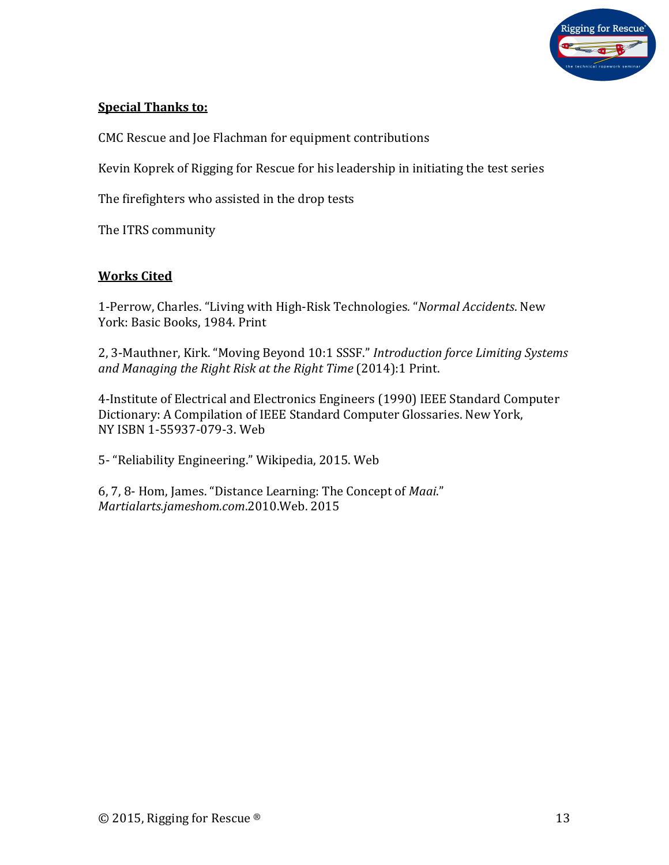

### **Special Thanks to:**

CMC Rescue and Joe Flachman for equipment contributions

Kevin Koprek of Rigging for Rescue for his leadership in initiating the test series

The firefighters who assisted in the drop tests

The ITRS community

#### **Works Cited**

1-Perrow, Charles. "Living with High-Risk Technologies*.* "*Normal Accidents*. New York: Basic Books, 1984. Print

2, 3-Mauthner, Kirk. "Moving Beyond 10:1 SSSF." *Introduction force Limiting Systems and Managing the Right Risk at the Right Time* (2014):1 Print.

4-Institute of Electrical and Electronics Engineers (1990) IEEE Standard Computer Dictionary: A Compilation of IEEE Standard Computer Glossaries. New York, NY ISBN 1-55937-079-3. Web

5- "Reliability Engineering." Wikipedia, 2015. Web

6, 7, 8- Hom, James. "Distance Learning: The Concept of *Maai*." *Martialarts.jameshom.com*.2010.Web. 2015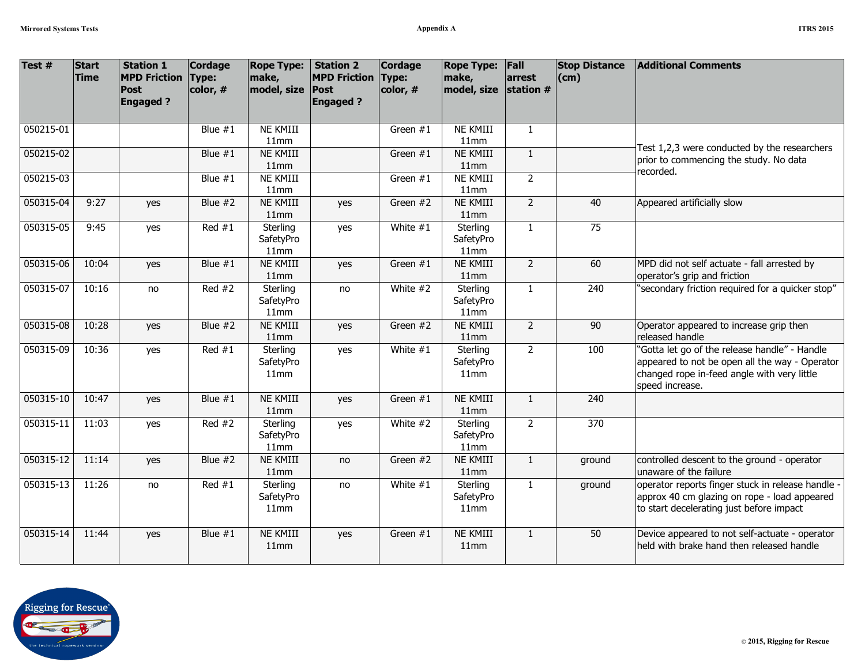| Test #    | <b>Start</b><br><b>Time</b> | <b>Station 1</b><br><b>MPD Friction</b><br><b>Post</b><br><b>Engaged?</b> | <b>Cordage</b><br>Type:<br>color, # | <b>Rope Type:</b><br>make,<br>model, size | <b>Station 2</b><br><b>MPD Friction</b><br>Post<br><b>Engaged?</b> | <b>Cordage</b><br>Type:<br>color, # | <b>Rope Type:</b><br>make,<br>model, size | Fall<br>arrest<br>station $#$ | <b>Stop Distance</b><br>$ $ (cm) | <b>Additional Comments</b>                                                                                                                                        |
|-----------|-----------------------------|---------------------------------------------------------------------------|-------------------------------------|-------------------------------------------|--------------------------------------------------------------------|-------------------------------------|-------------------------------------------|-------------------------------|----------------------------------|-------------------------------------------------------------------------------------------------------------------------------------------------------------------|
| 050215-01 |                             |                                                                           | Blue $#1$                           | NE KMIII                                  |                                                                    | Green #1                            | NE KMIII                                  | $\mathbf{1}$                  |                                  |                                                                                                                                                                   |
| 050215-02 |                             |                                                                           | Blue $#1$                           | 11mm<br>NE KMIII                          |                                                                    |                                     | 11mm<br><b>NE KMIII</b>                   | $\mathbf{1}$                  |                                  | Test 1,2,3 were conducted by the researchers                                                                                                                      |
|           |                             |                                                                           |                                     | 11mm                                      |                                                                    | Green #1                            | 11mm                                      |                               |                                  | prior to commencing the study. No data                                                                                                                            |
| 050215-03 |                             |                                                                           | Blue $#1$                           | NE KMIII                                  |                                                                    | Green #1                            | NE KMIII                                  | $\overline{2}$                |                                  | recorded.                                                                                                                                                         |
|           |                             |                                                                           |                                     | 11mm                                      |                                                                    |                                     | 11mm                                      |                               |                                  |                                                                                                                                                                   |
| 050315-04 | 9:27                        | yes                                                                       | Blue $#2$                           | <b>NE KMIII</b>                           | yes                                                                | Green #2                            | <b>NE KMIII</b>                           | $\overline{2}$                | 40                               | Appeared artificially slow                                                                                                                                        |
|           |                             |                                                                           |                                     | 11mm                                      |                                                                    |                                     | 11mm                                      |                               |                                  |                                                                                                                                                                   |
| 050315-05 | 9:45                        | yes                                                                       | Red $#1$                            | Sterling<br>SafetyPro<br>11mm             | yes                                                                | White $#1$                          | Sterling<br>SafetyPro<br>11mm             | $\mathbf{1}$                  | 75                               |                                                                                                                                                                   |
| 050315-06 | 10:04                       | yes                                                                       | Blue $#1$                           | <b>NE KMIII</b><br>11mm                   | yes                                                                | Green #1                            | <b>NE KMIII</b><br>11mm                   | $\overline{2}$                | 60                               | MPD did not self actuate - fall arrested by<br>operator's grip and friction                                                                                       |
| 050315-07 | 10:16                       | no                                                                        | Red $#2$                            | Sterling<br>SafetyPro<br>11mm             | no                                                                 | White #2                            | Sterling<br>SafetyPro<br>11mm             | $\mathbf{1}$                  | 240                              | 'secondary friction required for a quicker stop"                                                                                                                  |
| 050315-08 | 10:28                       | yes                                                                       | Blue $#2$                           | NE KMIII<br>11mm                          | yes                                                                | Green #2                            | NE KMIII<br>11mm                          | $\overline{2}$                | 90                               | Operator appeared to increase grip then<br>released handle                                                                                                        |
| 050315-09 | 10:36                       | yes                                                                       | Red $#1$                            | Sterling<br>SafetyPro<br>11mm             | yes                                                                | White $#1$                          | Sterling<br>SafetyPro<br>11mm             | $\overline{2}$                | 100                              | "Gotta let go of the release handle" - Handle<br>appeared to not be open all the way - Operator<br>changed rope in-feed angle with very little<br>speed increase. |
| 050315-10 | 10:47                       | yes                                                                       | Blue $#1$                           | <b>NE KMIII</b><br>11mm                   | yes                                                                | Green #1                            | <b>NE KMIII</b><br>11mm                   | $\mathbf{1}$                  | 240                              |                                                                                                                                                                   |
| 050315-11 | 11:03                       | yes                                                                       | Red $#2$                            | Sterling<br>SafetyPro<br>11mm             | yes                                                                | White #2                            | Sterling<br>SafetyPro<br>11mm             | $\overline{2}$                | 370                              |                                                                                                                                                                   |
| 050315-12 | 11:14                       | yes                                                                       | Blue $#2$                           | NE KMIII<br>11mm                          | no                                                                 | Green #2                            | NE KMIII<br>11mm                          | $\mathbf{1}$                  | ground                           | controlled descent to the ground - operator<br>unaware of the failure                                                                                             |
| 050315-13 | 11:26                       | no                                                                        | Red $#1$                            | Sterling<br>SafetyPro<br>11mm             | no                                                                 | White $#1$                          | Sterling<br>SafetyPro<br>11mm             | $\mathbf{1}$                  | ground                           | operator reports finger stuck in release handle -<br>approx 40 cm glazing on rope - load appeared<br>to start decelerating just before impact                     |
| 050315-14 | 11:44                       | yes                                                                       | Blue $#1$                           | <b>NE KMIII</b><br>11mm                   | yes                                                                | Green $#1$                          | <b>NE KMIII</b><br>11mm                   | $\mathbf{1}$                  | 50                               | Device appeared to not self-actuate - operator<br>held with brake hand then released handle                                                                       |

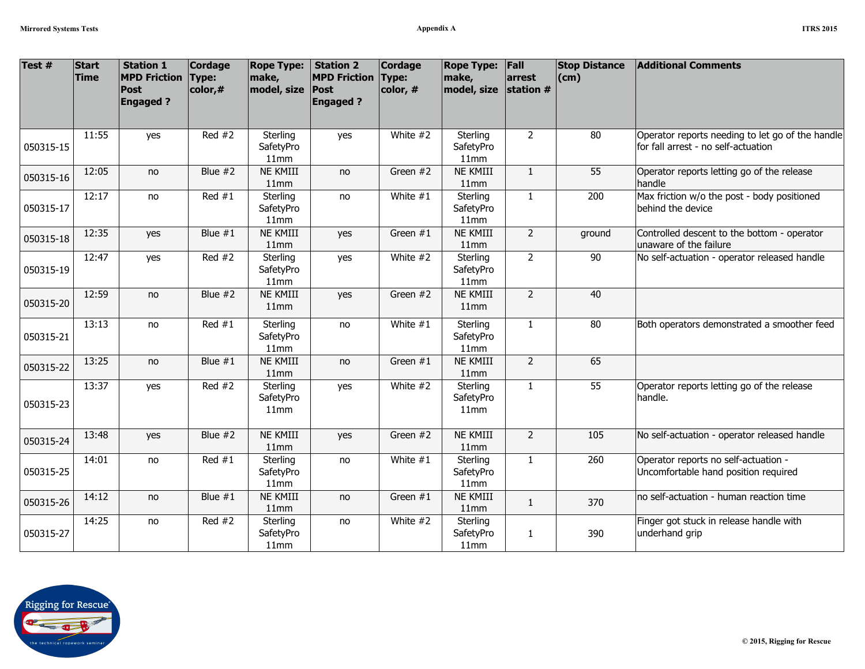| A |  | <b>ITRS 2015</b> |
|---|--|------------------|
|   |  |                  |

| Test #    | <b>Start</b><br><b>Time</b> | <b>Station 1</b><br><b>MPD Friction</b><br>Post<br><b>Engaged?</b> | Cordage<br>Type:<br>color,# | <b>Rope Type:</b><br>make,<br>model, size | <b>Station 2</b><br><b>MPD Friction</b><br>Post<br><b>Engaged?</b> | Cordage<br>Type:<br>color, # | <b>Rope Type:</b><br>make,<br>model, size | Fall<br>arrest<br>station # | <b>Stop Distance</b><br>$\mathsf{(cm)}$ | <b>Additional Comments</b>                                                              |
|-----------|-----------------------------|--------------------------------------------------------------------|-----------------------------|-------------------------------------------|--------------------------------------------------------------------|------------------------------|-------------------------------------------|-----------------------------|-----------------------------------------|-----------------------------------------------------------------------------------------|
| 050315-15 | 11:55                       | yes                                                                | Red $#2$                    | Sterling<br>SafetyPro<br>11mm             | yes                                                                | White #2                     | Sterling<br>SafetyPro<br>11mm             | $\overline{2}$              | 80                                      | Operator reports needing to let go of the handle<br>for fall arrest - no self-actuation |
| 050315-16 | 12:05                       | no                                                                 | Blue $#2$                   | NE KMIII<br>11mm                          | no                                                                 | Green #2                     | NE KMIII<br>11mm                          | $\mathbf{1}$                | 55                                      | Operator reports letting go of the release<br>handle                                    |
| 050315-17 | 12:17                       | no                                                                 | Red $#1$                    | Sterling<br>SafetyPro<br>11mm             | no                                                                 | White $#1$                   | Sterling<br>SafetyPro<br>11mm             | $\mathbf{1}$                | 200                                     | Max friction w/o the post - body positioned<br>behind the device                        |
| 050315-18 | 12:35                       | yes                                                                | Blue $#1$                   | <b>NE KMIII</b><br>11mm                   | yes                                                                | Green #1                     | NE KMIII<br>11mm                          | $2^{\circ}$                 | ground                                  | Controlled descent to the bottom - operator<br>unaware of the failure                   |
| 050315-19 | 12:47                       | yes                                                                | $\overline{Red}$ #2         | Sterling<br>SafetyPro<br>11mm             | yes                                                                | White $#2$                   | Sterling<br>SafetyPro<br>11mm             | $\overline{2}$              | $\overline{90}$                         | No self-actuation - operator released handle                                            |
| 050315-20 | 12:59                       | no                                                                 | Blue $#2$                   | NE KMIII<br>11mm                          | yes                                                                | Green #2                     | NE KMIII<br>11mm                          | $\overline{2}$              | 40                                      |                                                                                         |
| 050315-21 | 13:13                       | no                                                                 | Red $#1$                    | Sterling<br>SafetyPro<br>11mm             | no                                                                 | White $#1$                   | Sterling<br>SafetyPro<br>11mm             | $\mathbf{1}$                | 80                                      | Both operators demonstrated a smoother feed                                             |
| 050315-22 | 13:25                       | no                                                                 | Blue $#1$                   | NE KMIII<br>11mm                          | no                                                                 | Green #1                     | NE KMIII<br>11mm                          | $\overline{2}$              | 65                                      |                                                                                         |
| 050315-23 | 13:37                       | yes                                                                | Red $#2$                    | Sterling<br>SafetyPro<br>11mm             | yes                                                                | White #2                     | Sterling<br>SafetyPro<br>11mm             | $\mathbf{1}$                | 55                                      | Operator reports letting go of the release<br>handle.                                   |
| 050315-24 | 13:48                       | yes                                                                | Blue $#2$                   | NE KMIII<br>11mm                          | yes                                                                | Green #2                     | <b>NE KMIII</b><br>11mm                   | $\overline{2}$              | 105                                     | No self-actuation - operator released handle                                            |
| 050315-25 | 14:01                       | no                                                                 | Red $#1$                    | Sterling<br>SafetyPro<br>11mm             | no                                                                 | White $#1$                   | Sterling<br>SafetyPro<br>11mm             | $\mathbf{1}$                | 260                                     | Operator reports no self-actuation -<br>Uncomfortable hand position required            |
| 050315-26 | 14:12                       | no                                                                 | Blue $#1$                   | NE KMIII<br>11mm                          | no                                                                 | Green #1                     | NE KMIII<br>11mm                          | $\mathbf{1}$                | 370                                     | no self-actuation - human reaction time                                                 |
| 050315-27 | 14:25                       | no                                                                 | Red $#2$                    | Sterling<br>SafetyPro<br>11mm             | no                                                                 | White #2                     | Sterling<br>SafetyPro<br>11mm             | 1                           | 390                                     | Finger got stuck in release handle with<br>underhand grip                               |

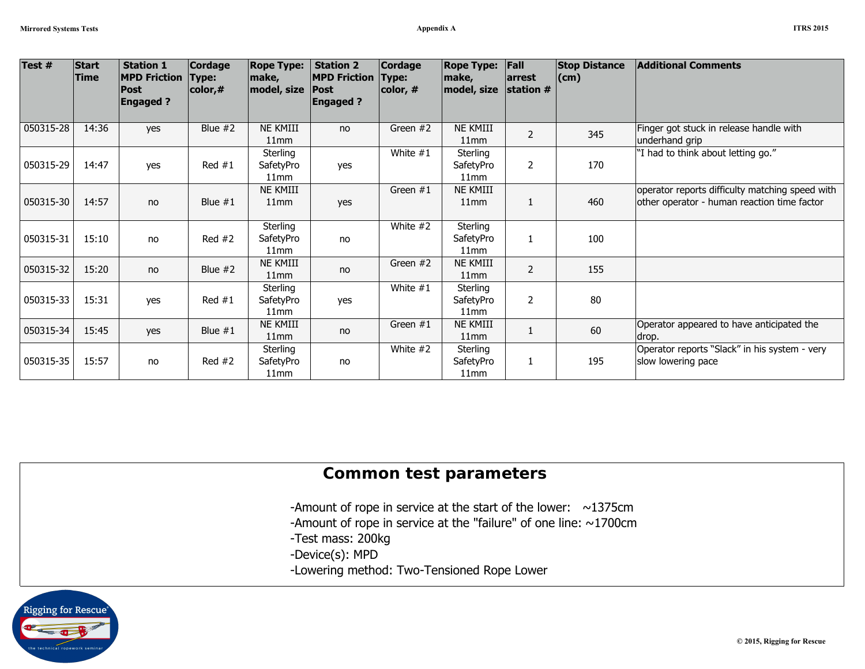| А |  | <b>ITRS 2015</b> |
|---|--|------------------|
|   |  |                  |

| Test #    | Start<br><b>Time</b> | <b>Station 1</b><br><b>MPD Friction</b><br>Post<br><b>Engaged?</b> | <b>Cordage</b><br>Type:<br>$\vert$ color,# | <b>Rope Type:</b><br>make,<br>model, size | <b>Station 2</b><br><b>MPD Friction</b><br><b>Post</b><br><b>Engaged?</b> | <b>Cordage</b><br>Type:<br>color, # | <b>Rope Type:</b><br>make,<br>model, size | Fall<br>arrest<br>station # | <b>Stop Distance</b><br>$\mathsf{(cm)}$ | <b>Additional Comments</b>                                                                     |
|-----------|----------------------|--------------------------------------------------------------------|--------------------------------------------|-------------------------------------------|---------------------------------------------------------------------------|-------------------------------------|-------------------------------------------|-----------------------------|-----------------------------------------|------------------------------------------------------------------------------------------------|
| 050315-28 | 14:36                | yes                                                                | Blue $#2$                                  | NE KMIII<br>11mm                          | no                                                                        | Green #2                            | <b>NE KMIII</b><br>11mm                   | $\overline{2}$              | 345                                     | Finger got stuck in release handle with<br>underhand grip                                      |
| 050315-29 | 14:47                | yes                                                                | Red #1                                     | Sterling<br>SafetyPro<br>11mm             | yes                                                                       | White $#1$                          | Sterling<br>SafetyPro<br>11mm             | $\overline{2}$              | 170                                     | "I had to think about letting go."                                                             |
| 050315-30 | 14:57                | no                                                                 | Blue $#1$                                  | NE KMIII<br>11mm                          | yes                                                                       | Green $#1$                          | <b>NE KMIII</b><br>11mm                   | $\mathbf{1}$                | 460                                     | operator reports difficulty matching speed with<br>other operator - human reaction time factor |
| 050315-31 | 15:10                | no                                                                 | Red $#2$                                   | Sterling<br>SafetyPro<br>11mm             | no                                                                        | White #2                            | Sterling<br>SafetyPro<br>11mm             | 1                           | 100                                     |                                                                                                |
| 050315-32 | 15:20                | no                                                                 | Blue $#2$                                  | NE KMIII<br>11mm                          | no                                                                        | Green #2                            | NE KMIII<br>11mm                          | $\overline{2}$              | 155                                     |                                                                                                |
| 050315-33 | 15:31                | yes                                                                | Red #1                                     | Sterling<br>SafetyPro<br>11mm             | yes                                                                       | White $#1$                          | Sterling<br>SafetyPro<br>11mm             | 2                           | 80                                      |                                                                                                |
| 050315-34 | 15:45                | yes                                                                | Blue $#1$                                  | NE KMIII<br>11mm                          | no                                                                        | Green $#1$                          | <b>NE KMIII</b><br>11mm                   | $\mathbf{1}$                | 60                                      | Operator appeared to have anticipated the<br>drop.                                             |
| 050315-35 | 15:57                | no                                                                 | Red $#2$                                   | Sterling<br>SafetyPro<br>11mm             | no                                                                        | White #2                            | Sterling<br>SafetyPro<br>11mm             | 1                           | 195                                     | Operator reports "Slack" in his system - very<br>slow lowering pace                            |

## **Common test parameters**

- -Amount of rope in service at the start of the lower:  $\sim$ 1375cm
- -Amount of rope in service at the "failure" of one line: ~1700cm
- -Test mass: 200kg
- -Device(s): MPD
- -Lowering method: Two-Tensioned Rope Lower

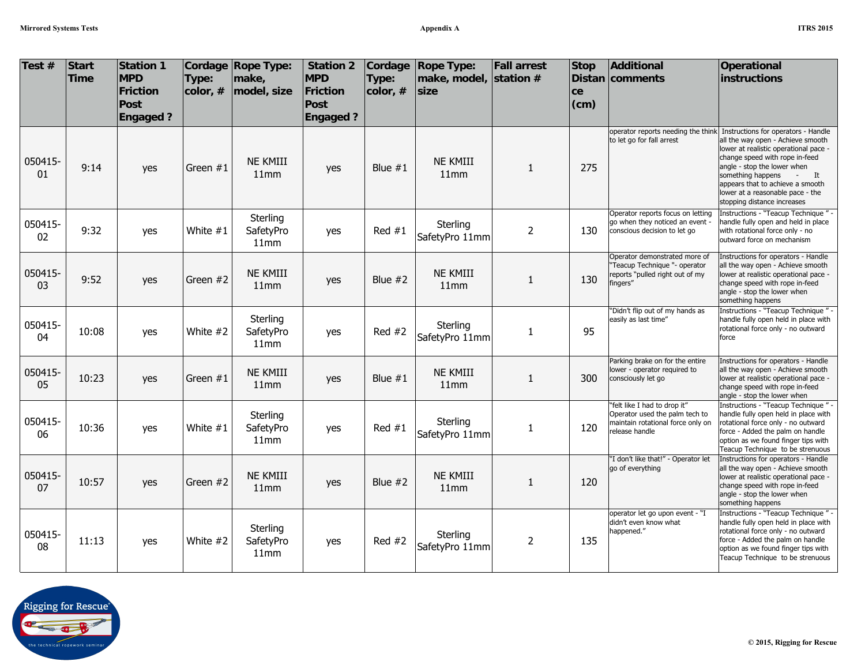| Test $#$      | <b>Start</b><br><b>Time</b> | Station 1<br><b>MPD</b><br>Friction<br>Post<br><b>Engaged?</b> | Type:<br>color, # | Cordage Rope Type:<br>make,<br>model, size | <b>Station 2</b><br><b>MPD</b><br>Friction<br>Post<br><b>Engaged?</b> | Cordage<br>Type:<br>color, # | <b>Rope Type:</b><br>make, model, station $#$<br>size | <b>Fall arrest</b> | <b>Stop</b><br>ce<br>(cm) | Additional<br>Distan comments                                                                                         | Operational<br>instructions                                                                                                                                                                                                                                                                                                                                 |
|---------------|-----------------------------|----------------------------------------------------------------|-------------------|--------------------------------------------|-----------------------------------------------------------------------|------------------------------|-------------------------------------------------------|--------------------|---------------------------|-----------------------------------------------------------------------------------------------------------------------|-------------------------------------------------------------------------------------------------------------------------------------------------------------------------------------------------------------------------------------------------------------------------------------------------------------------------------------------------------------|
| 050415-<br>01 | 9:14                        | yes                                                            | Green #1          | <b>NE KMIII</b><br>11mm                    | yes                                                                   | Blue $#1$                    | <b>NE KMIII</b><br>11mm                               | 1                  | 275                       | to let go for fall arrest                                                                                             | operator reports needing the think Instructions for operators - Handle<br>all the way open - Achieve smooth<br>lower at realistic operational pace -<br>change speed with rope in-feed<br>angle - stop the lower when<br>something happens<br>$-$ It<br>appears that to achieve a smooth<br>lower at a reasonable pace - the<br>stopping distance increases |
| 050415-<br>02 | 9:32                        | yes                                                            | White $#1$        | Sterling<br>SafetyPro<br>11mm              | yes                                                                   | Red $#1$                     | Sterling<br>SafetyPro 11mm                            | $\overline{2}$     | 130                       | Operator reports focus on letting<br>go when they noticed an event -<br>conscious decision to let go                  | Instructions - "Teacup Technique" -<br>handle fully open and held in place<br>with rotational force only - no<br>outward force on mechanism                                                                                                                                                                                                                 |
| 050415-<br>03 | 9:52                        | yes                                                            | Green #2          | <b>NE KMIII</b><br>11mm                    | yes                                                                   | Blue $#2$                    | <b>NE KMIII</b><br>11mm                               | $\mathbf{1}$       | 130                       | Operator demonstrated more of<br>"Teacup Technique "- operator<br>reports "pulled right out of my<br>fingers"         | Instructions for operators - Handle<br>all the way open - Achieve smooth<br>lower at realistic operational pace -<br>change speed with rope in-feed<br>angle - stop the lower when<br>something happens                                                                                                                                                     |
| 050415-<br>04 | 10:08                       | yes                                                            | White #2          | Sterling<br>SafetyPro<br>11mm              | yes                                                                   | Red $#2$                     | Sterling<br>SafetyPro 11mm                            | 1                  | 95                        | 'Didn't flip out of my hands as<br>easily as last time"                                                               | Instructions - "Teacup Technique" -<br>handle fully open held in place with<br>rotational force only - no outward<br>force                                                                                                                                                                                                                                  |
| 050415-<br>05 | 10:23                       | yes                                                            | Green $#1$        | <b>NE KMIII</b><br>11mm                    | yes                                                                   | Blue $#1$                    | <b>NE KMIII</b><br>11mm                               | 1                  | 300                       | Parking brake on for the entire<br>lower - operator required to<br>consciously let go                                 | Instructions for operators - Handle<br>all the way open - Achieve smooth<br>lower at realistic operational pace -<br>change speed with rope in-feed<br>angle - stop the lower when                                                                                                                                                                          |
| 050415-<br>06 | 10:36                       | yes                                                            | White $#1$        | Sterling<br>SafetyPro<br>11mm              | yes                                                                   | Red $#1$                     | Sterling<br>SafetyPro 11mm                            | $\mathbf{1}$       | 120                       | "felt like I had to drop it"<br>Operator used the palm tech to<br>maintain rotational force only on<br>release handle | Instructions - "Teacup Technique" -<br>handle fully open held in place with<br>rotational force only - no outward<br>force - Added the palm on handle<br>option as we found finger tips with<br>Teacup Technique to be strenuous                                                                                                                            |
| 050415-<br>07 | 10:57                       | yes                                                            | Green #2          | <b>NE KMIII</b><br>11mm                    | yes                                                                   | Blue $#2$                    | <b>NE KMIII</b><br>11mm                               | 1                  | 120                       | "I don't like that!" - Operator let<br>go of everything                                                               | Instructions for operators - Handle<br>all the way open - Achieve smooth<br>lower at realistic operational pace -<br>change speed with rope in-feed<br>angle - stop the lower when<br>something happens                                                                                                                                                     |
| 050415-<br>08 | 11:13                       | yes                                                            | White #2          | Sterling<br>SafetyPro<br>11mm              | yes                                                                   | Red $#2$                     | Sterling<br>SafetyPro 11mm                            | $\overline{2}$     | 135                       | operator let go upon event - "I<br>didn't even know what<br>happened."                                                | Instructions - "Teacup Technique" -<br>handle fully open held in place with<br>rotational force only - no outward<br>force - Added the palm on handle<br>option as we found finger tips with<br>Teacup Technique to be strenuous                                                                                                                            |

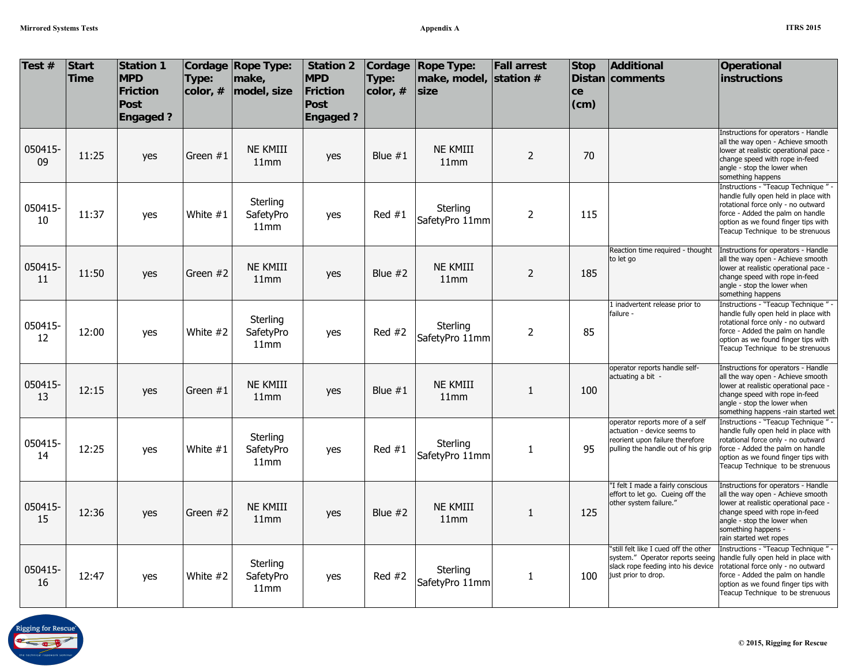| Test #        | <b>Start</b><br><b>Time</b> | <b>Station 1</b><br><b>MPD</b><br><b>Friction</b><br><b>Post</b><br><b>Engaged?</b> | Type:<br>color, # | Cordage Rope Type:<br>make,<br>model, size | <b>Station 2</b><br><b>MPD</b><br>Friction<br>Post<br><b>Engaged?</b> | Cordage<br>Type:<br>color, # | <b>Rope Type:</b><br>make, model, station #<br>size | <b>Fall arrest</b> | <b>Stop</b><br>ce<br>(cm) | <b>Additional</b><br>Distan comments                                                                                                    | <b>Operational</b><br>instructions                                                                                                                                                                                                  |
|---------------|-----------------------------|-------------------------------------------------------------------------------------|-------------------|--------------------------------------------|-----------------------------------------------------------------------|------------------------------|-----------------------------------------------------|--------------------|---------------------------|-----------------------------------------------------------------------------------------------------------------------------------------|-------------------------------------------------------------------------------------------------------------------------------------------------------------------------------------------------------------------------------------|
| 050415-<br>09 | 11:25                       | yes                                                                                 | Green $#1$        | <b>NE KMIII</b><br>11mm                    | yes                                                                   | Blue $#1$                    | <b>NE KMIII</b><br>11mm                             | $\overline{2}$     | 70                        |                                                                                                                                         | Instructions for operators - Handle<br>all the way open - Achieve smooth<br>lower at realistic operational pace -<br>change speed with rope in-feed<br>angle - stop the lower when<br>something happens                             |
| 050415-<br>10 | 11:37                       | yes                                                                                 | White #1          | Sterling<br>SafetyPro<br>11mm              | yes                                                                   | Red $#1$                     | Sterling<br>SafetyPro 11mm                          | $\overline{2}$     | 115                       |                                                                                                                                         | Instructions - "Teacup Technique" -<br>handle fully open held in place with<br>rotational force only - no outward<br>force - Added the palm on handle<br>option as we found finger tips with<br>Teacup Technique to be strenuous    |
| 050415-<br>11 | 11:50                       | yes                                                                                 | Green $#2$        | <b>NE KMIII</b><br>11mm                    | yes                                                                   | Blue $#2$                    | <b>NE KMIII</b><br>11mm                             | $\overline{2}$     | 185                       | Reaction time required - thought<br>to let go                                                                                           | Instructions for operators - Handle<br>all the way open - Achieve smooth<br>lower at realistic operational pace -<br>change speed with rope in-feed<br>angle - stop the lower when<br>something happens                             |
| 050415-<br>12 | 12:00                       | yes                                                                                 | White #2          | Sterling<br>SafetyPro<br>11mm              | yes                                                                   | Red $#2$                     | Sterling<br>SafetyPro 11mm                          | $\overline{2}$     | 85                        | 1 inadvertent release prior to<br>failure -                                                                                             | Instructions - "Teacup Technique" -<br>handle fully open held in place with<br>rotational force only - no outward<br>force - Added the palm on handle<br>option as we found finger tips with<br>Teacup Technique to be strenuous    |
| 050415-<br>13 | 12:15                       | yes                                                                                 | Green $#1$        | <b>NE KMIII</b><br>11mm                    | yes                                                                   | Blue $#1$                    | <b>NE KMIII</b><br>11mm                             | $\mathbf{1}$       | 100                       | operator reports handle self-<br>actuating a bit -                                                                                      | Instructions for operators - Handle<br>all the way open - Achieve smooth<br>lower at realistic operational pace -<br>change speed with rope in-feed<br>angle - stop the lower when<br>something happens -rain started wet           |
| 050415-<br>14 | 12:25                       | yes                                                                                 | White #1          | Sterling<br>SafetyPro<br>11mm              | yes                                                                   | Red $#1$                     | Sterling<br>SafetyPro 11mm                          | $\mathbf{1}$       | 95                        | operator reports more of a self<br>actuation - device seems to<br>reorient upon failure therefore<br>pulling the handle out of his grip | Instructions - "Teacup Technique" -<br>handle fully open held in place with<br>rotational force only - no outward<br>force - Added the palm on handle<br>option as we found finger tips with<br>Teacup Technique to be strenuous    |
| 050415-<br>15 | 12:36                       | yes                                                                                 | Green $#2$        | <b>NE KMIII</b><br>11mm                    | yes                                                                   | Blue $#2$                    | <b>NE KMIII</b><br>11mm                             | 1                  | 125                       | "I felt I made a fairly conscious<br>effort to let go. Cueing off the<br>other system failure."                                         | Instructions for operators - Handle<br>all the way open - Achieve smooth<br>lower at realistic operational pace -<br>change speed with rope in-feed<br>angle - stop the lower when<br>something happens -<br>rain started wet ropes |
| 050415-<br>16 | 12:47                       | yes                                                                                 | White #2          | Sterling<br>SafetyPro<br>11mm              | yes                                                                   | Red $#2$                     | Sterling<br>SafetyPro 11mm                          | 1                  | 100                       | "still felt like I cued off the other<br>system." Operator reports seeing<br>slack rope feeding into his device<br>just prior to drop.  | Instructions - "Teacup Technique" -<br>handle fully open held in place with<br>rotational force only - no outward<br>force - Added the palm on handle<br>option as we found finger tips with<br>Teacup Technique to be strenuous    |